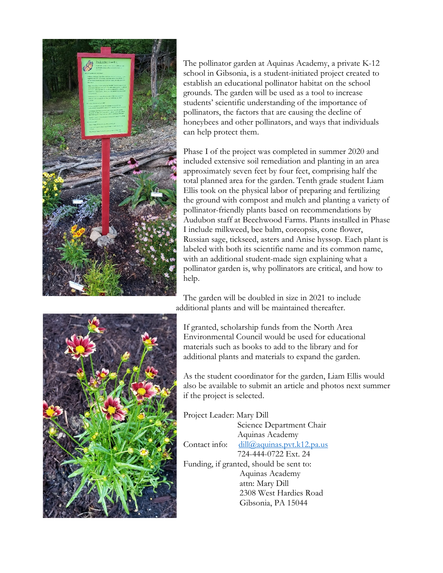

The pollinator garden at Aquinas Academy, a private K-12 school in Gibsonia, is a student-initiated project created to establish an educational pollinator habitat on the school grounds. The garden will be used as a tool to increase students' scientific understanding of the importance of pollinators, the factors that are causing the decline of honeybees and other pollinators, and ways that individuals can help protect them.

Phase I of the project was completed in summer 2020 and included extensive soil remediation and planting in an area approximately seven feet by four feet, comprising half the total planned area for the garden. Tenth grade student Liam Ellis took on the physical labor of preparing and fertilizing the ground with compost and mulch and planting a variety of pollinator-friendly plants based on recommendations by Audubon staff at Beechwood Farms. Plants installed in Phase I include milkweed, bee balm, coreopsis, cone flower, Russian sage, tickseed, asters and Anise hyssop. Each plant is labeled with both its scientific name and its common name, with an additional student-made sign explaining what a pollinator garden is, why pollinators are critical, and how to help.

The garden will be doubled in size in 2021 to include additional plants and will be maintained thereafter.



As the student coordinator for the garden, Liam Ellis would also be available to submit an article and photos next summer if the project is selected.

Project Leader: Mary Dill

 Science Department Chair Aquinas Academy Contact info: dill@aquinas.pvt.k12.pa.us 724-444-0722 Ext. 24 Funding, if granted, should be sent to: Aquinas Academy attn: Mary Dill 2308 West Hardies Road Gibsonia, PA 15044